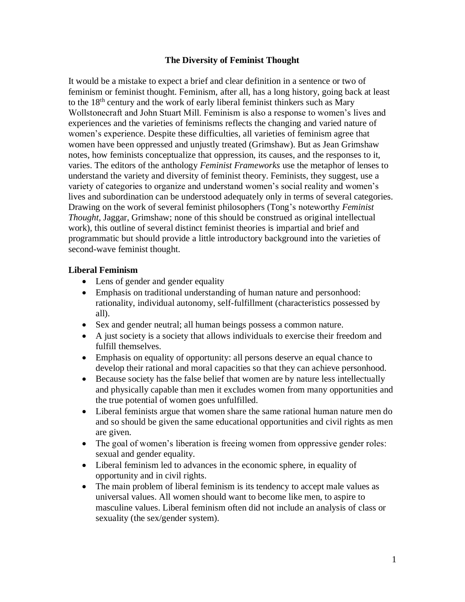#### **The Diversity of Feminist Thought**

It would be a mistake to expect a brief and clear definition in a sentence or two of feminism or feminist thought. Feminism, after all, has a long history, going back at least to the 18th century and the work of early liberal feminist thinkers such as Mary Wollstonecraft and John Stuart Mill. Feminism is also a response to women's lives and experiences and the varieties of feminisms reflects the changing and varied nature of women's experience. Despite these difficulties, all varieties of feminism agree that women have been oppressed and unjustly treated (Grimshaw). But as Jean Grimshaw notes, how feminists conceptualize that oppression, its causes, and the responses to it, varies. The editors of the anthology *Feminist Frameworks* use the metaphor of lenses to understand the variety and diversity of feminist theory. Feminists, they suggest, use a variety of categories to organize and understand women's social reality and women's lives and subordination can be understood adequately only in terms of several categories. Drawing on the work of several feminist philosophers (Tong's noteworthy *Feminist Thought*, Jaggar, Grimshaw; none of this should be construed as original intellectual work), this outline of several distinct feminist theories is impartial and brief and programmatic but should provide a little introductory background into the varieties of second-wave feminist thought.

#### **Liberal Feminism**

- Lens of gender and gender equality
- Emphasis on traditional understanding of human nature and personhood: rationality, individual autonomy, self-fulfillment (characteristics possessed by all).
- Sex and gender neutral; all human beings possess a common nature.
- A just society is a society that allows individuals to exercise their freedom and fulfill themselves.
- Emphasis on equality of opportunity: all persons deserve an equal chance to develop their rational and moral capacities so that they can achieve personhood.
- Because society has the false belief that women are by nature less intellectually and physically capable than men it excludes women from many opportunities and the true potential of women goes unfulfilled.
- Liberal feminists argue that women share the same rational human nature men do and so should be given the same educational opportunities and civil rights as men are given.
- The goal of women's liberation is freeing women from oppressive gender roles: sexual and gender equality.
- Liberal feminism led to advances in the economic sphere, in equality of opportunity and in civil rights.
- The main problem of liberal feminism is its tendency to accept male values as universal values. All women should want to become like men, to aspire to masculine values. Liberal feminism often did not include an analysis of class or sexuality (the sex/gender system).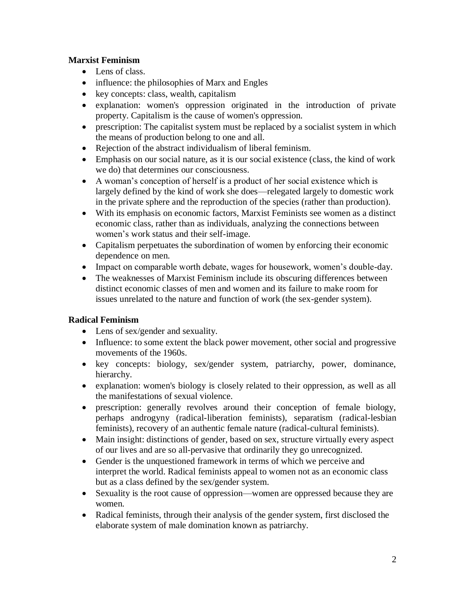# **Marxist Feminism**

- Lens of class.
- influence: the philosophies of Marx and Engles
- key concepts: class, wealth, capitalism
- explanation: women's oppression originated in the introduction of private property. Capitalism is the cause of women's oppression.
- prescription: The capitalist system must be replaced by a socialist system in which the means of production belong to one and all.
- Rejection of the abstract individualism of liberal feminism.
- Emphasis on our social nature, as it is our social existence (class, the kind of work we do) that determines our consciousness.
- A woman's conception of herself is a product of her social existence which is largely defined by the kind of work she does—relegated largely to domestic work in the private sphere and the reproduction of the species (rather than production).
- With its emphasis on economic factors, Marxist Feminists see women as a distinct economic class, rather than as individuals, analyzing the connections between women's work status and their self-image.
- Capitalism perpetuates the subordination of women by enforcing their economic dependence on men.
- Impact on comparable worth debate, wages for housework, women's double-day.
- The weaknesses of Marxist Feminism include its obscuring differences between distinct economic classes of men and women and its failure to make room for issues unrelated to the nature and function of work (the sex-gender system).

# **Radical Feminism**

- Lens of sex/gender and sexuality.
- Influence: to some extent the black power movement, other social and progressive movements of the 1960s.
- key concepts: biology, sex/gender system, patriarchy, power, dominance, hierarchy.
- explanation: women's biology is closely related to their oppression, as well as all the manifestations of sexual violence.
- prescription: generally revolves around their conception of female biology, perhaps androgyny (radical-liberation feminists), separatism (radical-lesbian feminists), recovery of an authentic female nature (radical-cultural feminists).
- Main insight: distinctions of gender, based on sex, structure virtually every aspect of our lives and are so all-pervasive that ordinarily they go unrecognized.
- Gender is the unquestioned framework in terms of which we perceive and interpret the world. Radical feminists appeal to women not as an economic class but as a class defined by the sex/gender system.
- Sexuality is the root cause of oppression—women are oppressed because they are women.
- Radical feminists, through their analysis of the gender system, first disclosed the elaborate system of male domination known as patriarchy.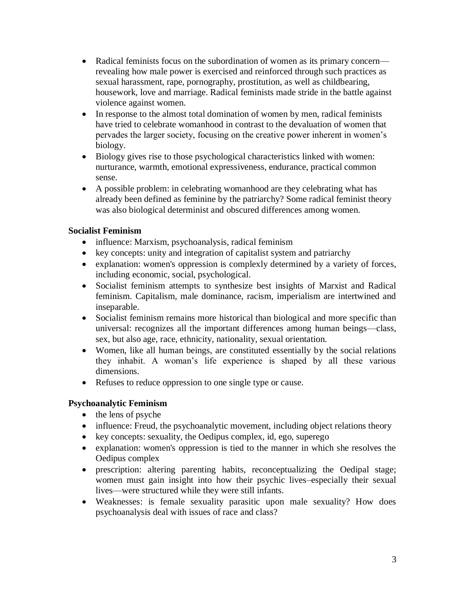- Radical feminists focus on the subordination of women as its primary concern revealing how male power is exercised and reinforced through such practices as sexual harassment, rape, pornography, prostitution, as well as childbearing, housework, love and marriage. Radical feminists made stride in the battle against violence against women.
- In response to the almost total domination of women by men, radical feminists have tried to celebrate womanhood in contrast to the devaluation of women that pervades the larger society, focusing on the creative power inherent in women's biology.
- Biology gives rise to those psychological characteristics linked with women: nurturance, warmth, emotional expressiveness, endurance, practical common sense.
- A possible problem: in celebrating womanhood are they celebrating what has already been defined as feminine by the patriarchy? Some radical feminist theory was also biological determinist and obscured differences among women.

## **Socialist Feminism**

- influence: Marxism, psychoanalysis, radical feminism
- key concepts: unity and integration of capitalist system and patriarchy
- explanation: women's oppression is complexly determined by a variety of forces, including economic, social, psychological.
- Socialist feminism attempts to synthesize best insights of Marxist and Radical feminism. Capitalism, male dominance, racism, imperialism are intertwined and inseparable.
- Socialist feminism remains more historical than biological and more specific than universal: recognizes all the important differences among human beings—class, sex, but also age, race, ethnicity, nationality, sexual orientation.
- Women, like all human beings, are constituted essentially by the social relations they inhabit. A woman's life experience is shaped by all these various dimensions.
- Refuses to reduce oppression to one single type or cause.

## **Psychoanalytic Feminism**

- the lens of psyche
- influence: Freud, the psychoanalytic movement, including object relations theory
- key concepts: sexuality, the Oedipus complex, id, ego, superego
- explanation: women's oppression is tied to the manner in which she resolves the Oedipus complex
- prescription: altering parenting habits, reconceptualizing the Oedipal stage; women must gain insight into how their psychic lives–especially their sexual lives—were structured while they were still infants.
- Weaknesses: is female sexuality parasitic upon male sexuality? How does psychoanalysis deal with issues of race and class?